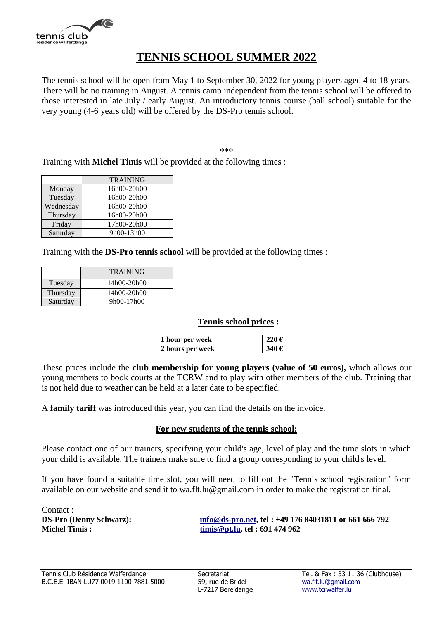

### **TENNIS SCHOOL SUMMER 2022**

The tennis school will be open from May 1 to September 30, 2022 for young players aged 4 to 18 years. There will be no training in August. A tennis camp independent from the tennis school will be offered to those interested in late July / early August. An introductory tennis course (ball school) suitable for the very young (4-6 years old) will be offered by the DS-Pro tennis school.

\*\*\*

Training with **Michel Timis** will be provided at the following times :

|           | <b>TRAINING</b> |
|-----------|-----------------|
| Monday    | 16h00-20h00     |
| Tuesday   | 16h00-20h00     |
| Wednesday | 16h00-20h00     |
| Thursday  | 16h00-20h00     |
| Friday    | 17h00-20h00     |
| Saturday  | 9h00-13h00      |

Training with the **DS-Pro tennis school** will be provided at the following times :

|          | <b>TRAINING</b> |
|----------|-----------------|
| Tuesday  | 14h00-20h00     |
| Thursday | 14h00-20h00     |
| Saturday | 9h00-17h00      |

#### **Tennis school prices :**

| 1 hour per week  |       |
|------------------|-------|
| 2 hours per week | 340 € |

These prices include the **club membership for young players (value of 50 euros),** which allows our young members to book courts at the TCRW and to play with other members of the club. Training that is not held due to weather can be held at a later date to be specified.

A **family tariff** was introduced this year, you can find the details on the invoice.

### **For new students of the tennis school:**

Please contact one of our trainers, specifying your child's age, level of play and the time slots in which your child is available. The trainers make sure to find a group corresponding to your child's level.

If you have found a suitable time slot, you will need to fill out the "Tennis school registration" form available on our website and send it to [wa.flt.lu@gmail.com](mailto:wa.flt.lu@gmail.com) in order to make the registration final.

Contact :

**DS-Pro (Denny Schwarz): [info@ds-pro.net,](mailto:info@ds-pro.net) tel : +49 176 84031811 or 661 666 792 Michel Timis : [timis@pt.lu,](mailto:timis@pt.lu) tel : 691 474 962**